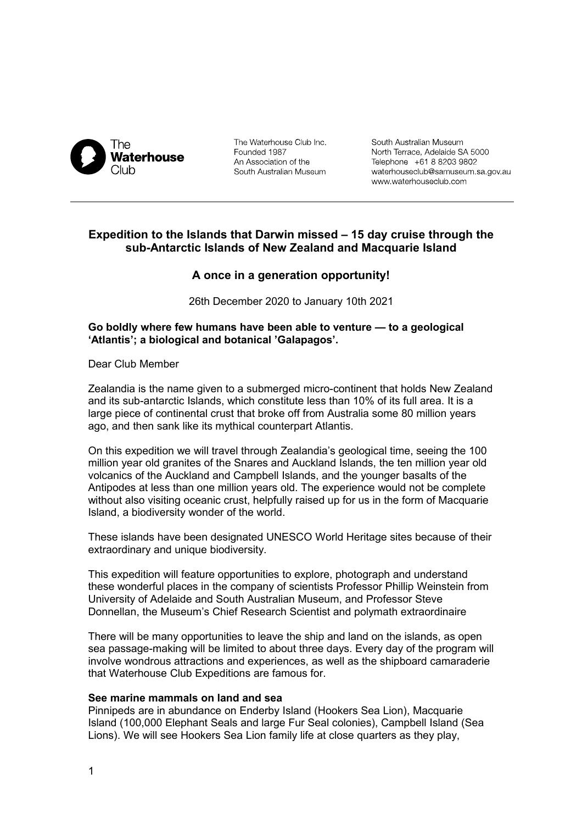

The Waterhouse Club Inc. Founded 1987 An Association of the South Australian Museum

South Australian Museum North Terrace, Adelaide SA 5000 Telephone +61 8 8203 9802 waterhouseclub@samuseum.sa.gov.au www.waterhouseclub.com

# **Expedition to the Islands that Darwin missed – 15 day cruise through the sub-Antarctic Islands of New Zealand and Macquarie Island**

# **A once in a generation opportunity!**

26th December 2020 to January 10th 2021

## **Go boldly where few humans have been able to venture — to a geological 'Atlantis'; a biological and botanical 'Galapagos'.**

Dear Club Member

Zealandia is the name given to a submerged micro-continent that holds New Zealand and its sub-antarctic Islands, which constitute less than 10% of its full area. It is a large piece of continental crust that broke off from Australia some 80 million years ago, and then sank like its mythical counterpart Atlantis.

On this expedition we will travel through Zealandia's geological time, seeing the 100 million year old granites of the Snares and Auckland Islands, the ten million year old volcanics of the Auckland and Campbell Islands, and the younger basalts of the Antipodes at less than one million years old. The experience would not be complete without also visiting oceanic crust, helpfully raised up for us in the form of Macquarie Island, a biodiversity wonder of the world.

These islands have been designated UNESCO World Heritage sites because of their extraordinary and unique biodiversity.

This expedition will feature opportunities to explore, photograph and understand these wonderful places in the company of scientists Professor Phillip Weinstein from University of Adelaide and South Australian Museum, and Professor Steve Donnellan, the Museum's Chief Research Scientist and polymath extraordinaire

There will be many opportunities to leave the ship and land on the islands, as open sea passage-making will be limited to about three days. Every day of the program will involve wondrous attractions and experiences, as well as the shipboard camaraderie that Waterhouse Club Expeditions are famous for.

## **See marine mammals on land and sea**

Pinnipeds are in abundance on Enderby Island (Hookers Sea Lion), Macquarie Island (100,000 Elephant Seals and large Fur Seal colonies), Campbell Island (Sea Lions). We will see Hookers Sea Lion family life at close quarters as they play,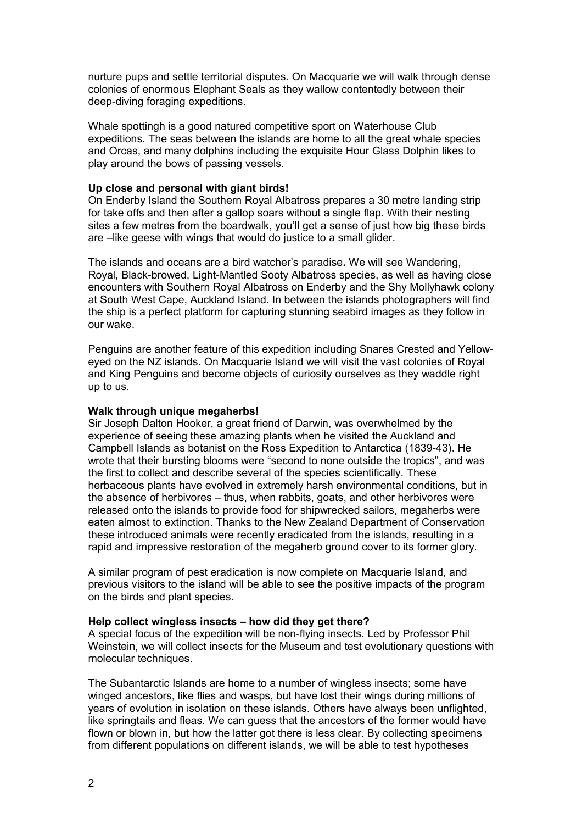nurture pups and settle territorial disputes. On Macquarie we will walk through dense colonies of enormous Elephant Seals as they wallow contentedly between their deep-diving foraging expeditions.

Whale spottingh is a good natured competitive sport on Waterhouse Club expeditions. The seas between the islands are home to all the great whale species and Orcas, and many dolphins including the exquisite Hour Glass Dolphin likes to play around the bows of passing vessels.

## **Up close and personal with giant birds!**

On Enderby Island the Southern Royal Albatross prepares a 30 metre landing strip for take offs and then after a gallop soars without a single flap. With their nesting sites a few metres from the boardwalk, you'll get a sense of just how big these birds are –like geese with wings that would do justice to a small glider.

The islands and oceans are a bird watcher's paradise**.** We will see Wandering, Royal, Black-browed, Light-Mantled Sooty Albatross species, as well as having close encounters with Southern Royal Albatross on Enderby and the Shy Mollyhawk colony at South West Cape, Auckland Island. In between the islands photographers will find the ship is a perfect platform for capturing stunning seabird images as they follow in our wake.

Penguins are another feature of this expedition including Snares Crested and Yelloweyed on the NZ islands. On Macquarie Island we will visit the vast colonies of Royal and King Penguins and become objects of curiosity ourselves as they waddle right up to us.

#### **Walk through unique megaherbs!**

Sir Joseph Dalton Hooker, a great friend of Darwin, was overwhelmed by the experience of seeing these amazing plants when he visited the Auckland and Campbell Islands as botanist on the Ross Expedition to Antarctica (1839-43). He wrote that their bursting blooms were "second to none outside the tropics", and was the first to collect and describe several of the species scientifically. These herbaceous plants have evolved in extremely harsh environmental conditions, but in the absence of herbivores – thus, when rabbits, goats, and other herbivores were released onto the islands to provide food for shipwrecked sailors, megaherbs were eaten almost to extinction. Thanks to the New Zealand Department of Conservation these introduced animals were recently eradicated from the islands, resulting in a rapid and impressive restoration of the megaherb ground cover to its former glory.

A similar program of pest eradication is now complete on Macquarie Island, and previous visitors to the island will be able to see the positive impacts of the program on the birds and plant species.

### **Help collect wingless insects – how did they get there?**

A special focus of the expedition will be non-flying insects. Led by Professor Phil Weinstein, we will collect insects for the Museum and test evolutionary questions with molecular techniques.

The Subantarctic Islands are home to a number of wingless insects; some have winged ancestors, like flies and wasps, but have lost their wings during millions of years of evolution in isolation on these islands. Others have always been unflighted, like springtails and fleas. We can guess that the ancestors of the former would have flown or blown in, but how the latter got there is less clear. By collecting specimens from different populations on different islands, we will be able to test hypotheses